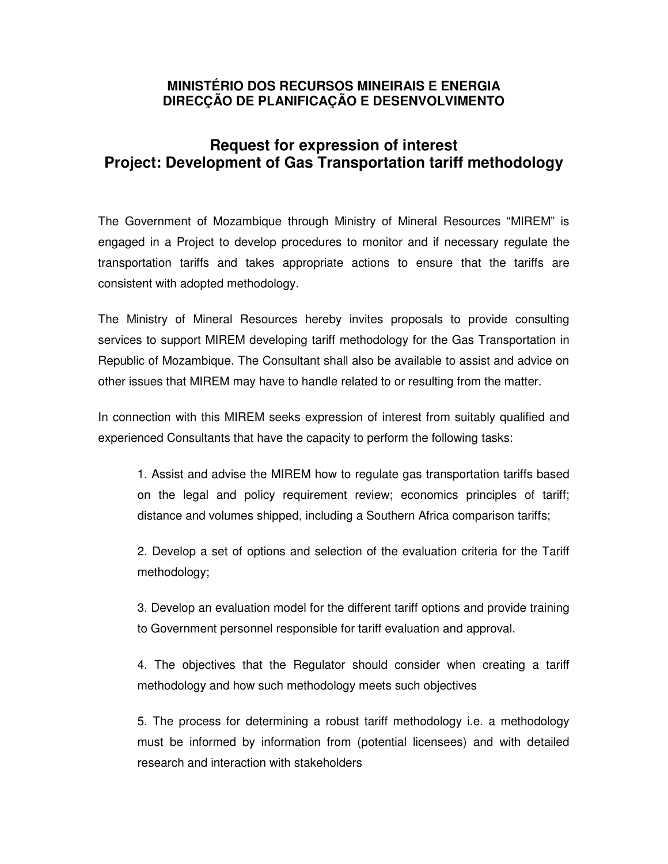## **MINISTÉRIO DOS RECURSOS MINEIRAIS E ENERGIA DIRECÇÃO DE PLANIFICAÇÃO E DESENVOLVIMENTO**

## **Request for expression of interest Project: Development of Gas Transportation tariff methodology**

The Government of Mozambique through Ministry of Mineral Resources "MIREM" is engaged in a Project to develop procedures to monitor and if necessary regulate the transportation tariffs and takes appropriate actions to ensure that the tariffs are consistent with adopted methodology.

The Ministry of Mineral Resources hereby invites proposals to provide consulting services to support MIREM developing tariff methodology for the Gas Transportation in Republic of Mozambique. The Consultant shall also be available to assist and advice on other issues that MIREM may have to handle related to or resulting from the matter.

In connection with this MIREM seeks expression of interest from suitably qualified and experienced Consultants that have the capacity to perform the following tasks:

1. Assist and advise the MIREM how to regulate gas transportation tariffs based on the legal and policy requirement review; economics principles of tariff; distance and volumes shipped, including a Southern Africa comparison tariffs;

2. Develop a set of options and selection of the evaluation criteria for the Tariff methodology;

3. Develop an evaluation model for the different tariff options and provide training to Government personnel responsible for tariff evaluation and approval.

4. The objectives that the Regulator should consider when creating a tariff methodology and how such methodology meets such objectives

5. The process for determining a robust tariff methodology i.e. a methodology must be informed by information from (potential licensees) and with detailed research and interaction with stakeholders